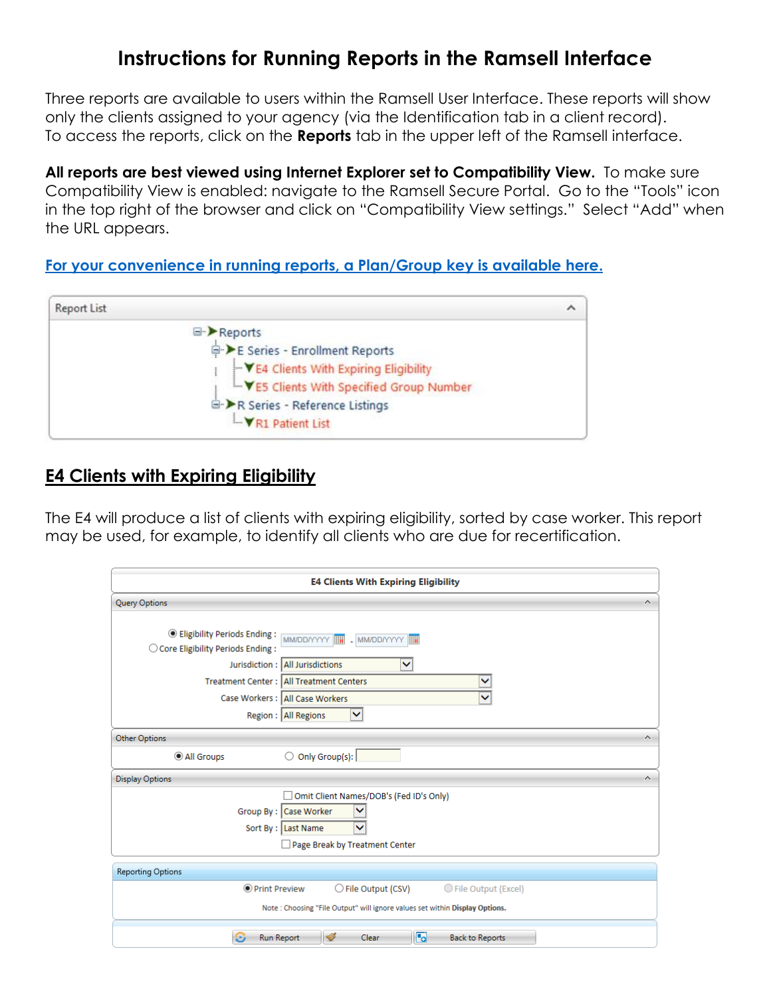# **Instructions for Running Reports in the Ramsell Interface**

Three reports are available to users within the Ramsell User Interface. These reports will show only the clients assigned to your agency (via the Identification tab in a client record). To access the reports, click on the **Reports** tab in the upper left of the Ramsell interface.

**All reports are best viewed using Internet Explorer set to Compatibility View.** To make sure Compatibility View is enabled: navigate to the Ramsell Secure Portal. Go to the "Tools" icon in the top right of the browser and click on "Compatibility View settings." Select "Add" when the URL appears.

**[For your convenience in running reports, a Plan/Group key is available here.](https://docs.wixstatic.com/ugd/ed7d47_5b0729cd74d941929596e4912c66f87f.pdf)**



### **E4 Clients with Expiring Eligibility**

The E4 will produce a list of clients with expiring eligibility, sorted by case worker. This report may be used, for example, to identify all clients who are due for recertification.

| <b>E4 Clients With Expiring Eligibility</b>                                                                                |                                                                                                                                                                                                    |  |  |
|----------------------------------------------------------------------------------------------------------------------------|----------------------------------------------------------------------------------------------------------------------------------------------------------------------------------------------------|--|--|
| <b>Query Options</b>                                                                                                       | $\mathcal{N}_\mathrm{c}$                                                                                                                                                                           |  |  |
| <b>Eligibility Periods Ending:</b><br>$\bigcirc$ Core Eligibility Periods Ending:                                          | MM/DD/YYYY     MM/DD/YYYY           MM/DD/YYYY<br>Jurisdiction: All Jurisdictions<br>▽<br>Treatment Center: All Treatment Centers<br>▽<br>Case Workers: All Case Workers<br>Region :   All Regions |  |  |
| <b>Other Options</b>                                                                                                       | $\scriptstyle\wedge$                                                                                                                                                                               |  |  |
| All Groups                                                                                                                 | $\circ$ Only Group(s):                                                                                                                                                                             |  |  |
| <b>Display Options</b>                                                                                                     | $\scriptstyle\sim$                                                                                                                                                                                 |  |  |
| Omit Client Names/DOB's (Fed ID's Only)<br>Group By : Case Worker<br>Sort By : Last Name<br>Page Break by Treatment Center |                                                                                                                                                                                                    |  |  |
| Reporting Options                                                                                                          |                                                                                                                                                                                                    |  |  |
| <b>O</b> Print Preview                                                                                                     | ○ File Output (CSV)<br>◯ File Output (Excel)                                                                                                                                                       |  |  |
| Note: Choosing "File Output" will ignore values set within Display Options.                                                |                                                                                                                                                                                                    |  |  |
| Θ<br><b>Run Report</b>                                                                                                     | G<br>$\blacktriangledown$<br>Clear<br><b>Back to Reports</b>                                                                                                                                       |  |  |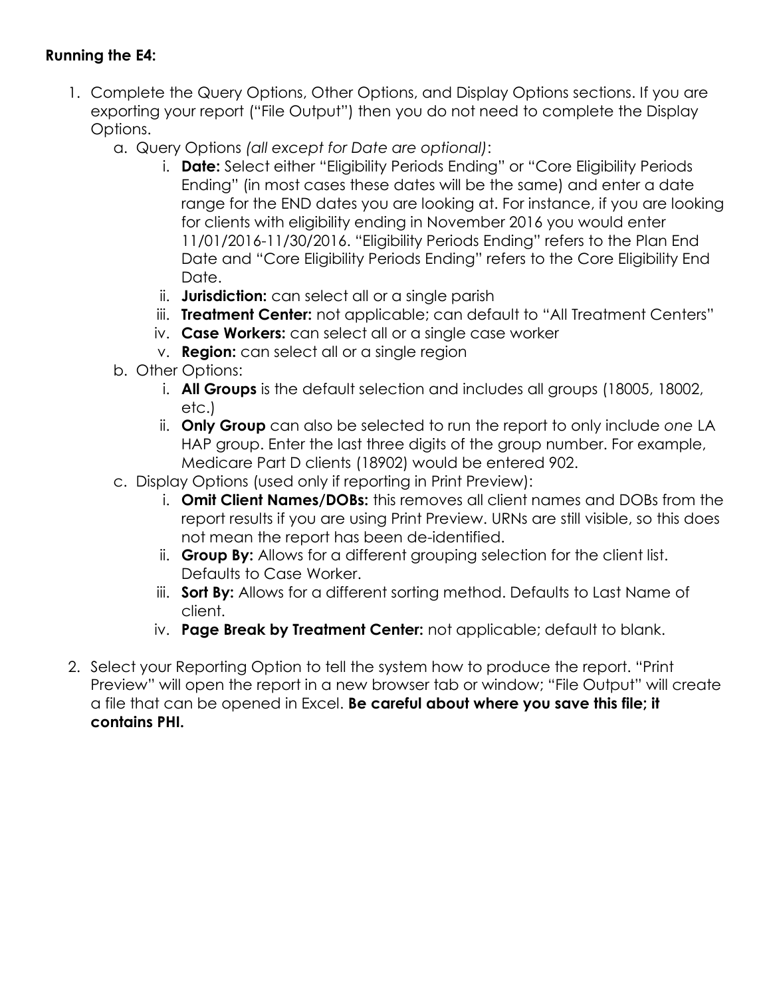#### **Running the E4:**

- 1. Complete the Query Options, Other Options, and Display Options sections. If you are exporting your report ("File Output") then you do not need to complete the Display Options.
	- a. Query Options *(all except for Date are optional)*:
		- i. **Date:** Select either "Eligibility Periods Ending" or "Core Eligibility Periods Ending" (in most cases these dates will be the same) and enter a date range for the END dates you are looking at. For instance, if you are looking for clients with eligibility ending in November 2016 you would enter 11/01/2016-11/30/2016. "Eligibility Periods Ending" refers to the Plan End Date and "Core Eligibility Periods Ending" refers to the Core Eligibility End Date.
		- ii. **Jurisdiction:** can select all or a single parish
		- iii. **Treatment Center:** not applicable; can default to "All Treatment Centers"
		- iv. **Case Workers:** can select all or a single case worker
		- v. **Region:** can select all or a single region
	- b. Other Options:
		- i. **All Groups** is the default selection and includes all groups (18005, 18002, etc.)
		- ii. **Only Group** can also be selected to run the report to only include *one* LA HAP group. Enter the last three digits of the group number. For example, Medicare Part D clients (18902) would be entered 902.
	- c. Display Options (used only if reporting in Print Preview):
		- i. **Omit Client Names/DOBs:** this removes all client names and DOBs from the report results if you are using Print Preview. URNs are still visible, so this does not mean the report has been de-identified.
		- ii. **Group By:** Allows for a different grouping selection for the client list. Defaults to Case Worker.
		- iii. **Sort By:** Allows for a different sorting method. Defaults to Last Name of client.
		- iv. **Page Break by Treatment Center:** not applicable; default to blank.
- 2. Select your Reporting Option to tell the system how to produce the report. "Print Preview" will open the report in a new browser tab or window; "File Output" will create a file that can be opened in Excel. **Be careful about where you save this file; it contains PHI.**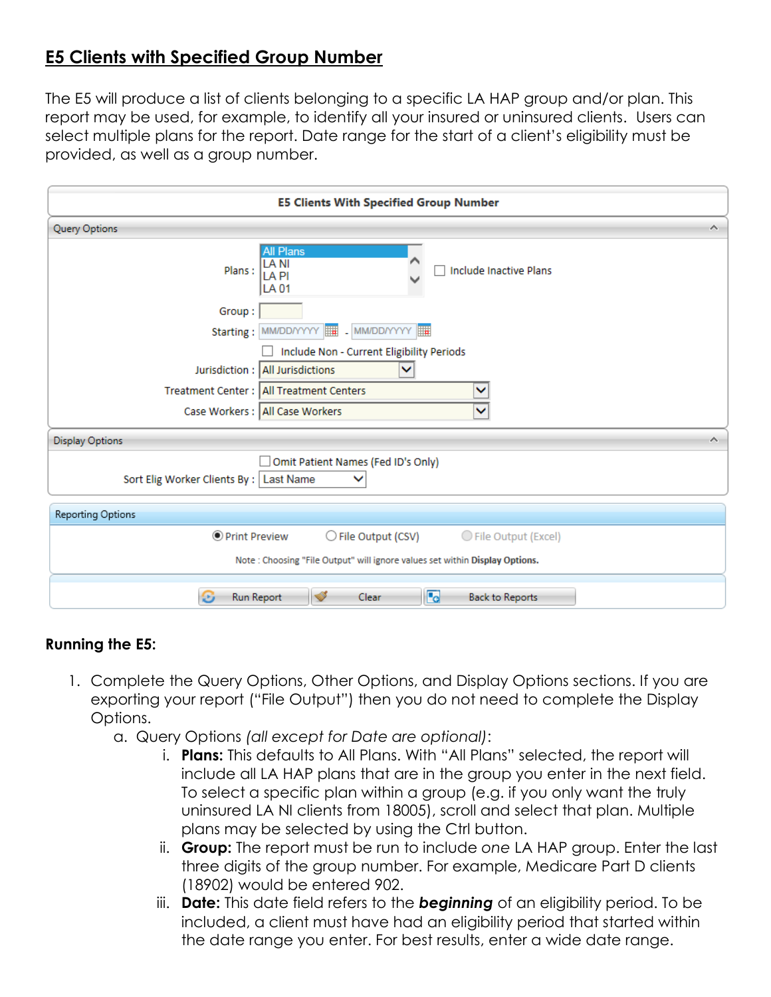## **E5 Clients with Specified Group Number**

The E5 will produce a list of clients belonging to a specific LA HAP group and/or plan. This report may be used, for example, to identify all your insured or uninsured clients. Users can select multiple plans for the report. Date range for the start of a client's eligibility must be provided, as well as a group number.

| <b>E5 Clients With Specified Group Number</b>                                        |                                                                                   |  |  |  |
|--------------------------------------------------------------------------------------|-----------------------------------------------------------------------------------|--|--|--|
| <b>Query Options</b>                                                                 | ́                                                                                 |  |  |  |
| Plans:                                                                               | <b>All Plans</b><br><b>LANI</b><br>Include Inactive Plans<br>LA PI<br><b>LA01</b> |  |  |  |
| Group:                                                                               |                                                                                   |  |  |  |
|                                                                                      | Starting: MM/DD/YYYY     MM/DD/YYYY                                               |  |  |  |
|                                                                                      | Include Non - Current Eligibility Periods                                         |  |  |  |
|                                                                                      | Jurisdiction: All Jurisdictions                                                   |  |  |  |
|                                                                                      | Treatment Center: All Treatment Centers<br>◡                                      |  |  |  |
|                                                                                      | Case Workers : All Case Workers<br>◡                                              |  |  |  |
| <b>Display Options</b><br>∼                                                          |                                                                                   |  |  |  |
| Omit Patient Names (Fed ID's Only)<br>Sort Elig Worker Clients By :   Last Name<br>◡ |                                                                                   |  |  |  |
| Reporting Options                                                                    |                                                                                   |  |  |  |
| O Print Preview                                                                      | $\bigcirc$ File Output (CSV)<br>◯ File Output (Excel)                             |  |  |  |
| Note: Choosing "File Output" will ignore values set within Display Options.          |                                                                                   |  |  |  |
| Θ<br>Run Report                                                                      | r.<br>$\blacktriangledown$<br>Clear<br><b>Back to Reports</b>                     |  |  |  |

#### **Running the E5:**

- 1. Complete the Query Options, Other Options, and Display Options sections. If you are exporting your report ("File Output") then you do not need to complete the Display Options.
	- a. Query Options *(all except for Date are optional)*:
		- i. **Plans:** This defaults to All Plans. With "All Plans" selected, the report will include all LA HAP plans that are in the group you enter in the next field. To select a specific plan within a group (e.g. if you only want the truly uninsured LA NI clients from 18005), scroll and select that plan. Multiple plans may be selected by using the Ctrl button.
		- ii. **Group:** The report must be run to include *one* LA HAP group. Enter the last three digits of the group number. For example, Medicare Part D clients (18902) would be entered 902.
		- iii. **Date:** This date field refers to the *beginning* of an eligibility period. To be included, a client must have had an eligibility period that started within the date range you enter. For best results, enter a wide date range.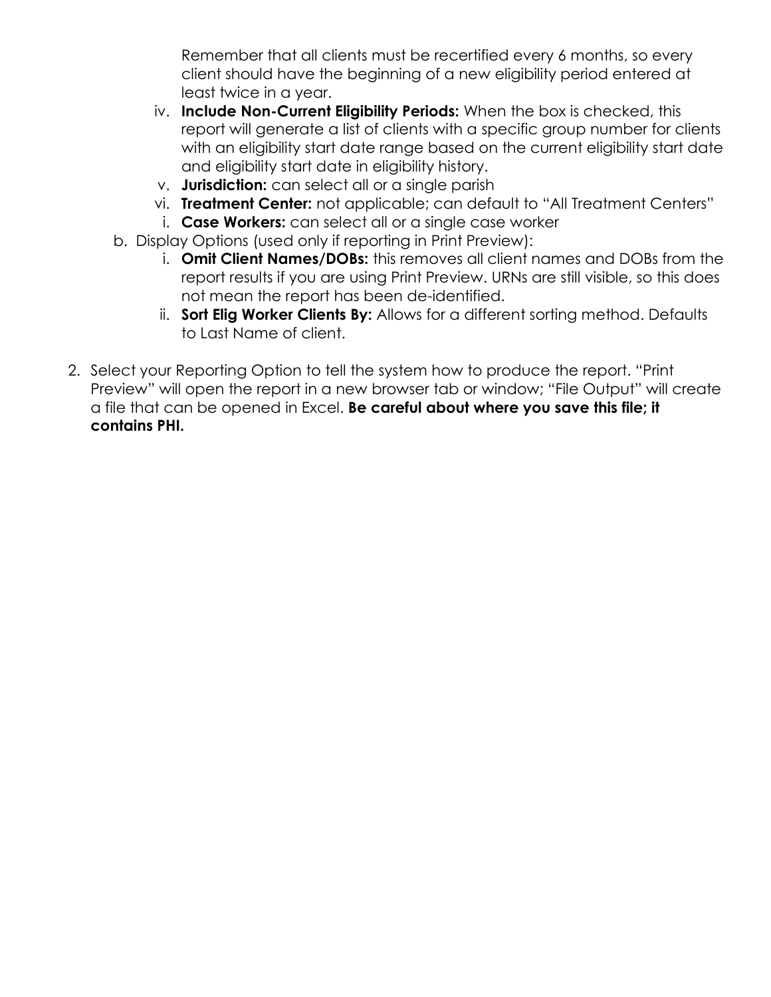Remember that all clients must be recertified every 6 months, so every client should have the beginning of a new eligibility period entered at least twice in a year.

- iv. **Include Non-Current Eligibility Periods:** When the box is checked, this report will generate a list of clients with a specific group number for clients with an eligibility start date range based on the current eligibility start date and eligibility start date in eligibility history.
- v. **Jurisdiction:** can select all or a single parish
- vi. **Treatment Center:** not applicable; can default to "All Treatment Centers"
- i. **Case Workers:** can select all or a single case worker
- b. Display Options (used only if reporting in Print Preview):
	- i. **Omit Client Names/DOBs:** this removes all client names and DOBs from the report results if you are using Print Preview. URNs are still visible, so this does not mean the report has been de-identified.
	- ii. **Sort Elig Worker Clients By:** Allows for a different sorting method. Defaults to Last Name of client.
- 2. Select your Reporting Option to tell the system how to produce the report. "Print Preview" will open the report in a new browser tab or window; "File Output" will create a file that can be opened in Excel. **Be careful about where you save this file; it contains PHI.**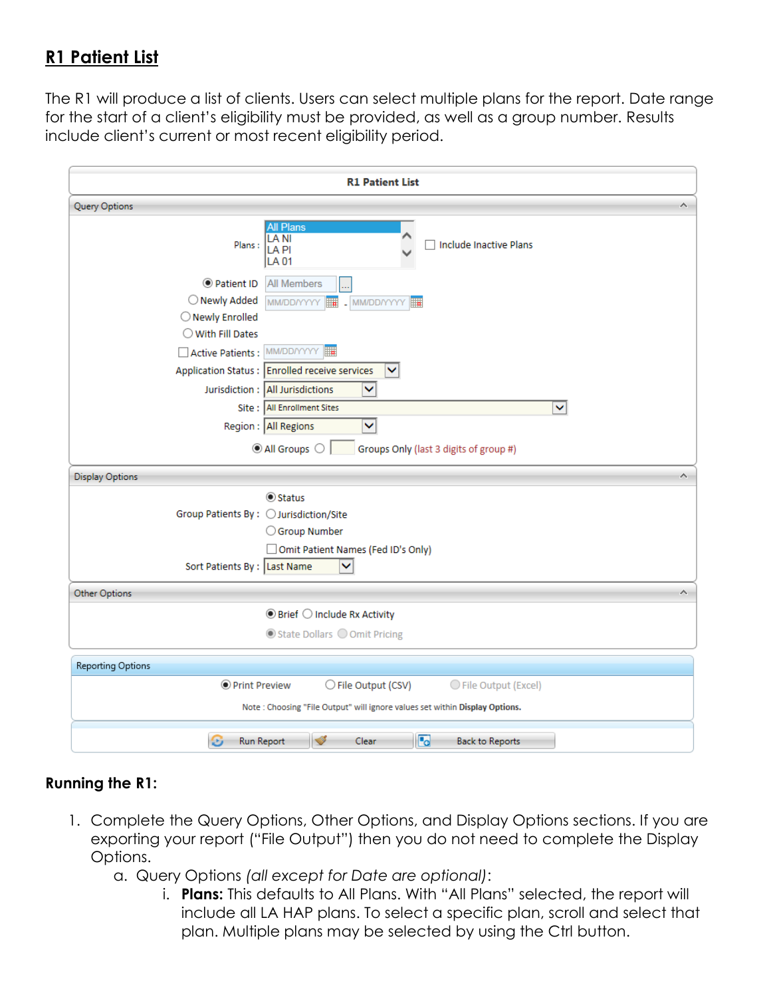## **R1 Patient List**

The R1 will produce a list of clients. Users can select multiple plans for the report. Date range for the start of a client's eligibility must be provided, as well as a group number. Results include client's current or most recent eligibility period.

| <b>R1 Patient List</b>                                                      |                                                     |                                      |   |  |  |
|-----------------------------------------------------------------------------|-----------------------------------------------------|--------------------------------------|---|--|--|
| Query Options                                                               |                                                     |                                      | ٨ |  |  |
| Plans:                                                                      | <b>All Plans</b><br>LA NI<br>LA PI<br>LA 01         | <b>Include Inactive Plans</b>        |   |  |  |
| ● Patient ID                                                                | <b>All Members</b>                                  |                                      |   |  |  |
| O Newly Added                                                               | MM/DD/YYYY<br>MM/DD/YYYY                            |                                      |   |  |  |
| O Newly Enrolled                                                            |                                                     |                                      |   |  |  |
| $\bigcirc$ With Fill Dates                                                  |                                                     |                                      |   |  |  |
| Active Patients : MM/DD/YYYY                                                |                                                     |                                      |   |  |  |
|                                                                             | Application Status : Enrolled receive services<br>v |                                      |   |  |  |
|                                                                             | Jurisdiction : All Jurisdictions<br>×               |                                      |   |  |  |
|                                                                             | Site :   All Enrollment Sites                       | v                                    |   |  |  |
|                                                                             | Region : All Regions<br>▽                           |                                      |   |  |  |
| All Groups O<br>Groups Only (last 3 digits of group #)                      |                                                     |                                      |   |  |  |
| <b>Display Options</b><br>ᄉ                                                 |                                                     |                                      |   |  |  |
|                                                                             | <b>● Status</b>                                     |                                      |   |  |  |
| Group Patients By: ○ Jurisdiction/Site                                      |                                                     |                                      |   |  |  |
| ○ Group Number                                                              |                                                     |                                      |   |  |  |
| Omit Patient Names (Fed ID's Only)                                          |                                                     |                                      |   |  |  |
| Sort Patients By : Last Name<br>v                                           |                                                     |                                      |   |  |  |
| Other Options                                                               |                                                     |                                      | Ä |  |  |
| $\odot$ Brief $\bigcirc$ Include Rx Activity                                |                                                     |                                      |   |  |  |
| ◎ State Dollars ○ Omit Pricing                                              |                                                     |                                      |   |  |  |
| Reporting Options                                                           |                                                     |                                      |   |  |  |
| <b>O</b> Print Preview                                                      | ○ File Output (CSV)                                 | ◯ File Output (Excel)                |   |  |  |
| Note: Choosing "File Output" will ignore values set within Display Options. |                                                     |                                      |   |  |  |
| Θ<br>Run Report                                                             | $\blacktriangledown$<br>Clear                       | <b>L</b> e<br><b>Back to Reports</b> |   |  |  |
|                                                                             |                                                     |                                      |   |  |  |

### **Running the R1:**

- 1. Complete the Query Options, Other Options, and Display Options sections. If you are exporting your report ("File Output") then you do not need to complete the Display Options.
	- a. Query Options *(all except for Date are optional)*:
		- i. **Plans:** This defaults to All Plans. With "All Plans" selected, the report will include all LA HAP plans. To select a specific plan, scroll and select that plan. Multiple plans may be selected by using the Ctrl button.